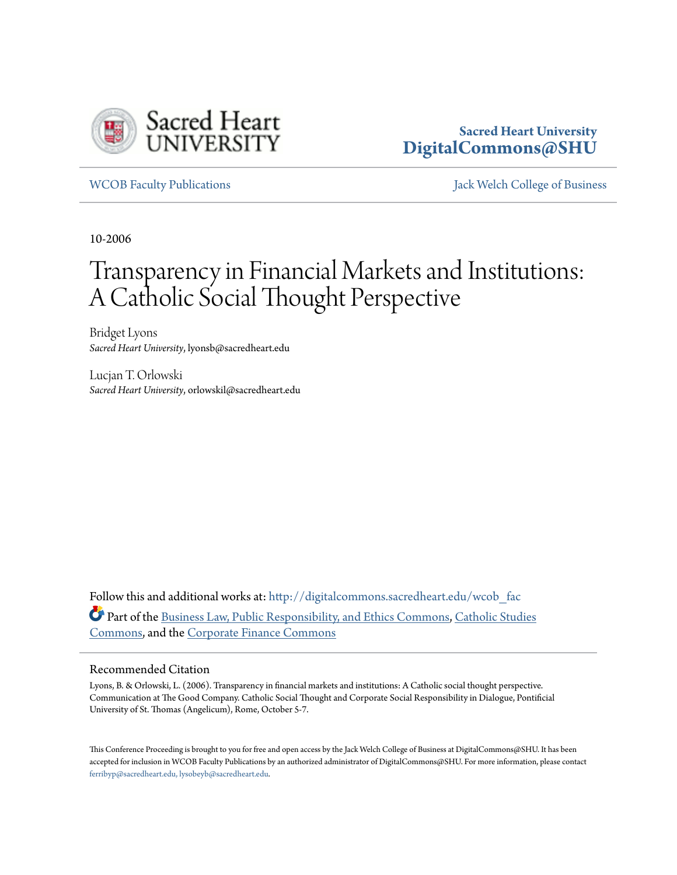

# **Sacred Heart University [DigitalCommons@SHU](http://digitalcommons.sacredheart.edu?utm_source=digitalcommons.sacredheart.edu%2Fwcob_fac%2F369&utm_medium=PDF&utm_campaign=PDFCoverPages)**

[WCOB Faculty Publications](http://digitalcommons.sacredheart.edu/wcob_fac?utm_source=digitalcommons.sacredheart.edu%2Fwcob_fac%2F369&utm_medium=PDF&utm_campaign=PDFCoverPages) [Jack Welch College of Business](http://digitalcommons.sacredheart.edu/wcob?utm_source=digitalcommons.sacredheart.edu%2Fwcob_fac%2F369&utm_medium=PDF&utm_campaign=PDFCoverPages)

10-2006

# Transparency in Financial Markets and Institutions: A Catholic Social Thought Perspective

Bridget Lyons *Sacred Heart University*, lyonsb@sacredheart.edu

Lucjan T. Orlowski *Sacred Heart University*, orlowskil@sacredheart.edu

Follow this and additional works at: [http://digitalcommons.sacredheart.edu/wcob\\_fac](http://digitalcommons.sacredheart.edu/wcob_fac?utm_source=digitalcommons.sacredheart.edu%2Fwcob_fac%2F369&utm_medium=PDF&utm_campaign=PDFCoverPages) Part of the [Business Law, Public Responsibility, and Ethics Commons,](http://network.bepress.com/hgg/discipline/628?utm_source=digitalcommons.sacredheart.edu%2Fwcob_fac%2F369&utm_medium=PDF&utm_campaign=PDFCoverPages) [Catholic Studies](http://network.bepress.com/hgg/discipline/1294?utm_source=digitalcommons.sacredheart.edu%2Fwcob_fac%2F369&utm_medium=PDF&utm_campaign=PDFCoverPages) [Commons,](http://network.bepress.com/hgg/discipline/1294?utm_source=digitalcommons.sacredheart.edu%2Fwcob_fac%2F369&utm_medium=PDF&utm_campaign=PDFCoverPages) and the [Corporate Finance Commons](http://network.bepress.com/hgg/discipline/629?utm_source=digitalcommons.sacredheart.edu%2Fwcob_fac%2F369&utm_medium=PDF&utm_campaign=PDFCoverPages)

#### Recommended Citation

Lyons, B. & Orlowski, L. (2006). Transparency in financial markets and institutions: A Catholic social thought perspective. Communication at The Good Company. Catholic Social Thought and Corporate Social Responsibility in Dialogue, Pontificial University of St. Thomas (Angelicum), Rome, October 5-7.

This Conference Proceeding is brought to you for free and open access by the Jack Welch College of Business at DigitalCommons@SHU. It has been accepted for inclusion in WCOB Faculty Publications by an authorized administrator of DigitalCommons@SHU. For more information, please contact [ferribyp@sacredheart.edu, lysobeyb@sacredheart.edu.](mailto:ferribyp@sacredheart.edu,%20lysobeyb@sacredheart.edu)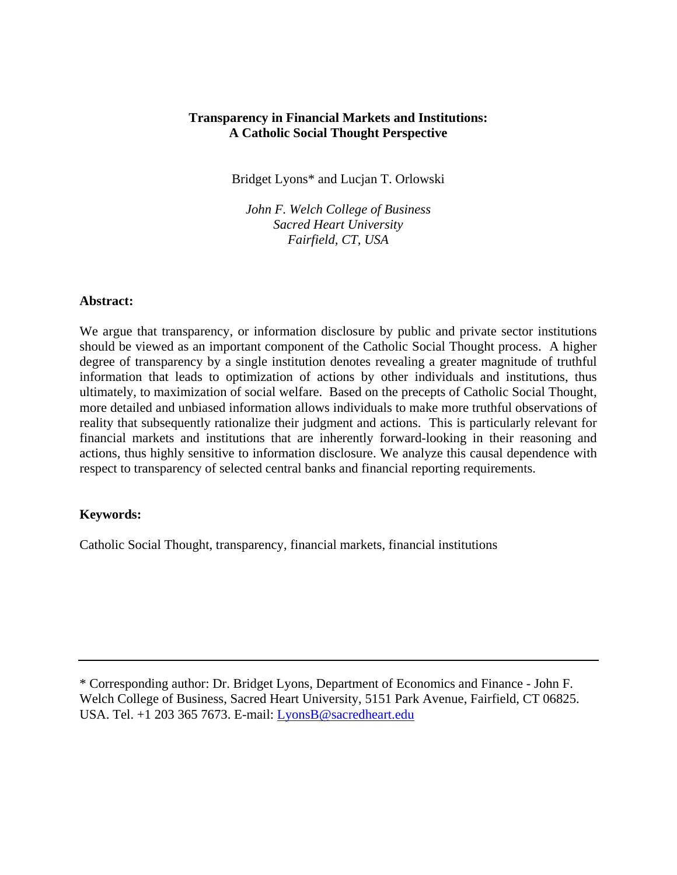#### **Transparency in Financial Markets and Institutions: A Catholic Social Thought Perspective**

Bridget Lyons\* and Lucjan T. Orlowski

*John F. Welch College of Business Sacred Heart University Fairfield, CT, USA* 

#### **Abstract:**

We argue that transparency, or information disclosure by public and private sector institutions should be viewed as an important component of the Catholic Social Thought process. A higher degree of transparency by a single institution denotes revealing a greater magnitude of truthful information that leads to optimization of actions by other individuals and institutions, thus ultimately, to maximization of social welfare. Based on the precepts of Catholic Social Thought, more detailed and unbiased information allows individuals to make more truthful observations of reality that subsequently rationalize their judgment and actions. This is particularly relevant for financial markets and institutions that are inherently forward-looking in their reasoning and actions, thus highly sensitive to information disclosure. We analyze this causal dependence with respect to transparency of selected central banks and financial reporting requirements.

#### **Keywords:**

Catholic Social Thought, transparency, financial markets, financial institutions

\* Corresponding author: Dr. Bridget Lyons, Department of Economics and Finance - John F. Welch College of Business, Sacred Heart University, 5151 Park Avenue, Fairfield, CT 06825. USA. Tel. +1 203 365 7673. E-mail: [LyonsB@sacredheart.edu](mailto:LyonsB@sacredheart.edu)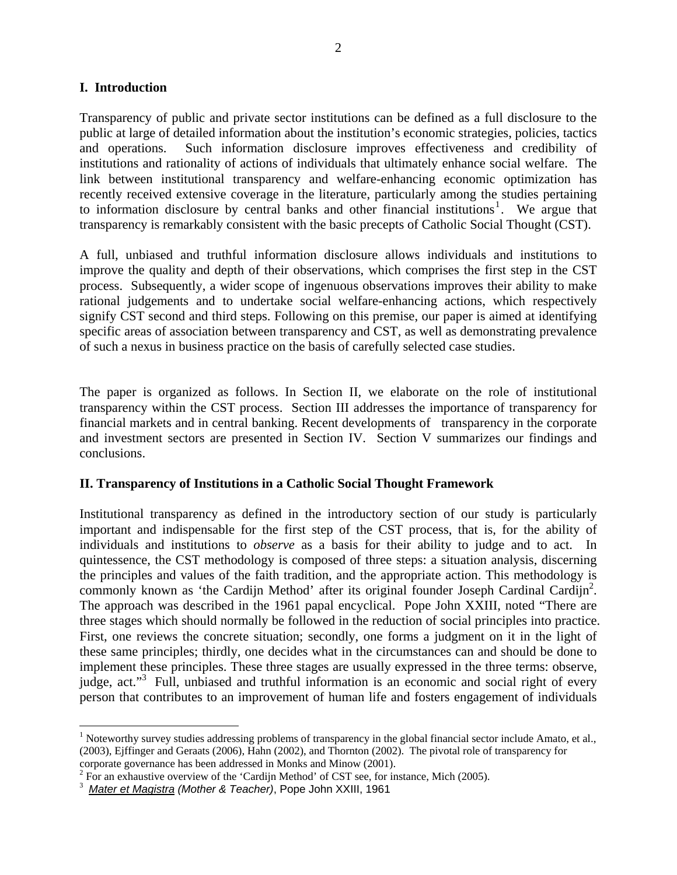#### **I. Introduction**

Transparency of public and private sector institutions can be defined as a full disclosure to the public at large of detailed information about the institution's economic strategies, policies, tactics and operations. Such information disclosure improves effectiveness and credibility of institutions and rationality of actions of individuals that ultimately enhance social welfare. The link between institutional transparency and welfare-enhancing economic optimization has recently received extensive coverage in the literature, particularly among the studies pertaining to information disclosure by central banks and other financial institutions<sup>[1](#page-2-0)</sup>. We argue that transparency is remarkably consistent with the basic precepts of Catholic Social Thought (CST).

A full, unbiased and truthful information disclosure allows individuals and institutions to improve the quality and depth of their observations, which comprises the first step in the CST process. Subsequently, a wider scope of ingenuous observations improves their ability to make rational judgements and to undertake social welfare-enhancing actions, which respectively signify CST second and third steps. Following on this premise, our paper is aimed at identifying specific areas of association between transparency and CST, as well as demonstrating prevalence of such a nexus in business practice on the basis of carefully selected case studies.

The paper is organized as follows. In Section II, we elaborate on the role of institutional transparency within the CST process. Section III addresses the importance of transparency for financial markets and in central banking. Recent developments of transparency in the corporate and investment sectors are presented in Section IV. Section V summarizes our findings and conclusions.

#### **II. Transparency of Institutions in a Catholic Social Thought Framework**

Institutional transparency as defined in the introductory section of our study is particularly important and indispensable for the first step of the CST process, that is, for the ability of individuals and institutions to *observe* as a basis for their ability to judge and to act. In quintessence, the CST methodology is composed of three steps: a situation analysis, discerning the principles and values of the faith tradition, and the appropriate action. This methodology is commonly known as 'the Cardijn Method' after its original founder Joseph Cardinal Cardijn<sup>2</sup>. The approach was described in the 1961 papal encyclical. Pope John XXIII, noted "There are three stages which should normally be followed in the reduction of social principles into practice. First, one reviews the concrete situation; secondly, one forms a judgment on it in the light of these same principles; thirdly, one decides what in the circumstances can and should be done to implement these principles. These three stages are usually expressed in the three terms: observe, judge, act."<sup>3</sup> Full, unbiased and truthful information is an economic and social right of every person that contributes to an improvement of human life and fosters engagement of individuals

 $\overline{a}$ 

<span id="page-2-0"></span> $1$  Noteworthy survey studies addressing problems of transparency in the global financial sector include Amato, et al., (2003), Ejffinger and Geraats (2006), Hahn (2002), and Thornton (2002). The pivotal role of transparency for corporate governance has been addressed in Monks and Minow (2001).

<span id="page-2-1"></span> $2^2$  For an exhaustive overview of the 'Cardijn Method' of CST see, for instance, Mich (2005).

<span id="page-2-2"></span><sup>3</sup> *Mater et Magistra (Mother & Teacher)*, Pope John XXIII, 1961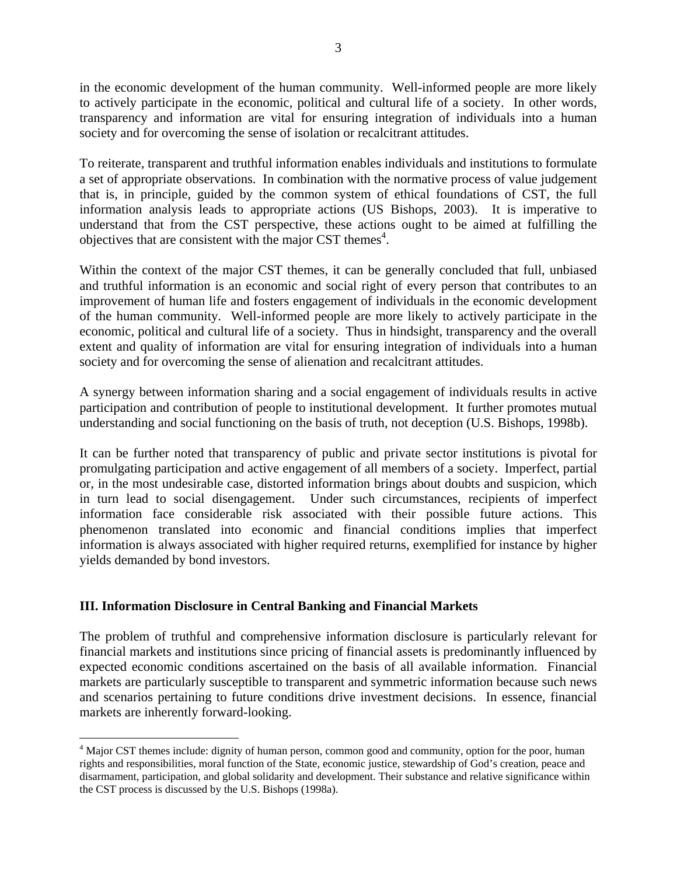in the economic development of the human community. Well-informed people are more likely to actively participate in the economic, political and cultural life of a society. In other words, transparency and information are vital for ensuring integration of individuals into a human society and for overcoming the sense of isolation or recalcitrant attitudes.

To reiterate, transparent and truthful information enables individuals and institutions to formulate a set of appropriate observations. In combination with the normative process of value judgement that is, in principle, guided by the common system of ethical foundations of CST, the full information analysis leads to appropriate actions (US Bishops, 2003). It is imperative to understand that from the CST perspective, these actions ought to be aimed at fulfilling the objectives that are consistent with the major CST themes $4$ .

Within the context of the major CST themes, it can be generally concluded that full, unbiased and truthful information is an economic and social right of every person that contributes to an improvement of human life and fosters engagement of individuals in the economic development of the human community. Well-informed people are more likely to actively participate in the economic, political and cultural life of a society. Thus in hindsight, transparency and the overall extent and quality of information are vital for ensuring integration of individuals into a human society and for overcoming the sense of alienation and recalcitrant attitudes.

A synergy between information sharing and a social engagement of individuals results in active participation and contribution of people to institutional development. It further promotes mutual understanding and social functioning on the basis of truth, not deception (U.S. Bishops, 1998b).

It can be further noted that transparency of public and private sector institutions is pivotal for promulgating participation and active engagement of all members of a society. Imperfect, partial or, in the most undesirable case, distorted information brings about doubts and suspicion, which in turn lead to social disengagement. Under such circumstances, recipients of imperfect information face considerable risk associated with their possible future actions. This phenomenon translated into economic and financial conditions implies that imperfect information is always associated with higher required returns, exemplified for instance by higher yields demanded by bond investors.

# **III. Information Disclosure in Central Banking and Financial Markets**

<u>.</u>

The problem of truthful and comprehensive information disclosure is particularly relevant for financial markets and institutions since pricing of financial assets is predominantly influenced by expected economic conditions ascertained on the basis of all available information. Financial markets are particularly susceptible to transparent and symmetric information because such news and scenarios pertaining to future conditions drive investment decisions. In essence, financial markets are inherently forward-looking.

<span id="page-3-0"></span><sup>&</sup>lt;sup>4</sup> Major CST themes include: dignity of human person, common good and community, option for the poor, human rights and responsibilities, moral function of the State, economic justice, stewardship of God's creation, peace and disarmament, participation, and global solidarity and development. Their substance and relative significance within the CST process is discussed by the U.S. Bishops (1998a).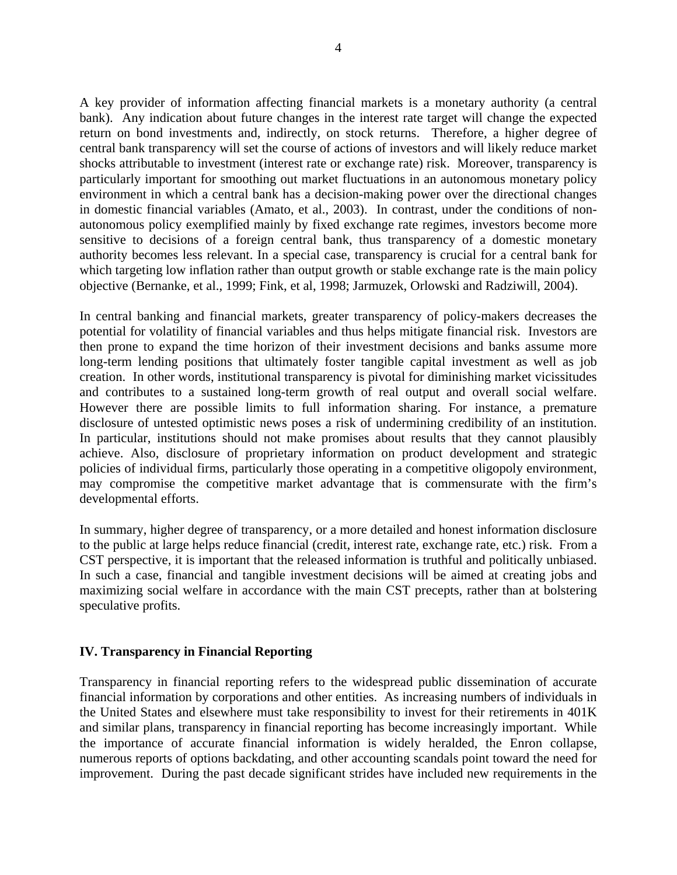A key provider of information affecting financial markets is a monetary authority (a central bank). Any indication about future changes in the interest rate target will change the expected return on bond investments and, indirectly, on stock returns. Therefore, a higher degree of central bank transparency will set the course of actions of investors and will likely reduce market shocks attributable to investment (interest rate or exchange rate) risk. Moreover, transparency is particularly important for smoothing out market fluctuations in an autonomous monetary policy environment in which a central bank has a decision-making power over the directional changes in domestic financial variables (Amato, et al., 2003). In contrast, under the conditions of nonautonomous policy exemplified mainly by fixed exchange rate regimes, investors become more sensitive to decisions of a foreign central bank, thus transparency of a domestic monetary authority becomes less relevant. In a special case, transparency is crucial for a central bank for which targeting low inflation rather than output growth or stable exchange rate is the main policy objective (Bernanke, et al., 1999; Fink, et al, 1998; Jarmuzek, Orlowski and Radziwill, 2004).

In central banking and financial markets, greater transparency of policy-makers decreases the potential for volatility of financial variables and thus helps mitigate financial risk. Investors are then prone to expand the time horizon of their investment decisions and banks assume more long-term lending positions that ultimately foster tangible capital investment as well as job creation. In other words, institutional transparency is pivotal for diminishing market vicissitudes and contributes to a sustained long-term growth of real output and overall social welfare. However there are possible limits to full information sharing. For instance, a premature disclosure of untested optimistic news poses a risk of undermining credibility of an institution. In particular, institutions should not make promises about results that they cannot plausibly achieve. Also, disclosure of proprietary information on product development and strategic policies of individual firms, particularly those operating in a competitive oligopoly environment, may compromise the competitive market advantage that is commensurate with the firm's developmental efforts.

In summary, higher degree of transparency, or a more detailed and honest information disclosure to the public at large helps reduce financial (credit, interest rate, exchange rate, etc.) risk. From a CST perspective, it is important that the released information is truthful and politically unbiased. In such a case, financial and tangible investment decisions will be aimed at creating jobs and maximizing social welfare in accordance with the main CST precepts, rather than at bolstering speculative profits.

#### **IV. Transparency in Financial Reporting**

Transparency in financial reporting refers to the widespread public dissemination of accurate financial information by corporations and other entities. As increasing numbers of individuals in the United States and elsewhere must take responsibility to invest for their retirements in 401K and similar plans, transparency in financial reporting has become increasingly important. While the importance of accurate financial information is widely heralded, the Enron collapse, numerous reports of options backdating, and other accounting scandals point toward the need for improvement. During the past decade significant strides have included new requirements in the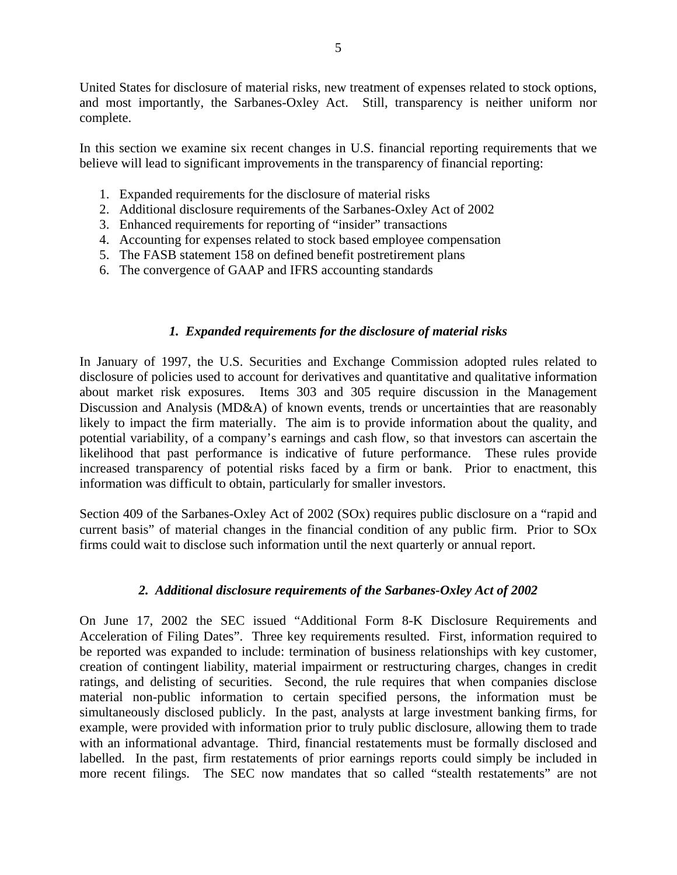United States for disclosure of material risks, new treatment of expenses related to stock options, and most importantly, the Sarbanes-Oxley Act. Still, transparency is neither uniform nor complete.

In this section we examine six recent changes in U.S. financial reporting requirements that we believe will lead to significant improvements in the transparency of financial reporting:

- 1. Expanded requirements for the disclosure of material risks
- 2. Additional disclosure requirements of the Sarbanes-Oxley Act of 2002
- 3. Enhanced requirements for reporting of "insider" transactions
- 4. Accounting for expenses related to stock based employee compensation
- 5. The FASB statement 158 on defined benefit postretirement plans
- 6. The convergence of GAAP and IFRS accounting standards

#### *1. Expanded requirements for the disclosure of material risks*

In January of 1997, the U.S. Securities and Exchange Commission adopted rules related to disclosure of policies used to account for derivatives and quantitative and qualitative information about market risk exposures. Items 303 and 305 require discussion in the Management Discussion and Analysis (MD&A) of known events, trends or uncertainties that are reasonably likely to impact the firm materially. The aim is to provide information about the quality, and potential variability, of a company's earnings and cash flow, so that investors can ascertain the likelihood that past performance is indicative of future performance. These rules provide increased transparency of potential risks faced by a firm or bank. Prior to enactment, this information was difficult to obtain, particularly for smaller investors.

Section 409 of the Sarbanes-Oxley Act of 2002 (SOx) requires public disclosure on a "rapid and current basis" of material changes in the financial condition of any public firm. Prior to SOx firms could wait to disclose such information until the next quarterly or annual report.

#### *2. Additional disclosure requirements of the Sarbanes-Oxley Act of 2002*

On June 17, 2002 the SEC issued "Additional Form 8-K Disclosure Requirements and Acceleration of Filing Dates". Three key requirements resulted. First, information required to be reported was expanded to include: termination of business relationships with key customer, creation of contingent liability, material impairment or restructuring charges, changes in credit ratings, and delisting of securities. Second, the rule requires that when companies disclose material non-public information to certain specified persons, the information must be simultaneously disclosed publicly. In the past, analysts at large investment banking firms, for example, were provided with information prior to truly public disclosure, allowing them to trade with an informational advantage. Third, financial restatements must be formally disclosed and labelled. In the past, firm restatements of prior earnings reports could simply be included in more recent filings. The SEC now mandates that so called "stealth restatements" are not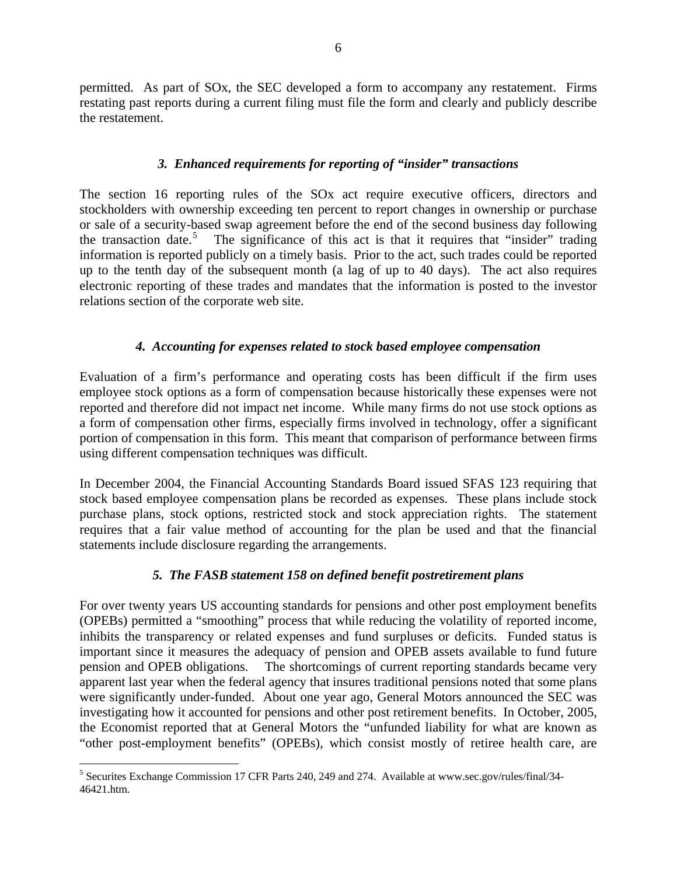permitted. As part of SOx, the SEC developed a form to accompany any restatement. Firms restating past reports during a current filing must file the form and clearly and publicly describe the restatement.

#### *3. Enhanced requirements for reporting of "insider" transactions*

The section 16 reporting rules of the SOx act require executive officers, directors and stockholders with ownership exceeding ten percent to report changes in ownership or purchase or sale of a security-based swap agreement before the end of the second business day following the transaction date.<sup>[5](#page-6-0)</sup> The significance of this act is that it requires that "insider" trading information is reported publicly on a timely basis. Prior to the act, such trades could be reported up to the tenth day of the subsequent month (a lag of up to 40 days). The act also requires electronic reporting of these trades and mandates that the information is posted to the investor relations section of the corporate web site.

# *4. Accounting for expenses related to stock based employee compensation*

Evaluation of a firm's performance and operating costs has been difficult if the firm uses employee stock options as a form of compensation because historically these expenses were not reported and therefore did not impact net income. While many firms do not use stock options as a form of compensation other firms, especially firms involved in technology, offer a significant portion of compensation in this form. This meant that comparison of performance between firms using different compensation techniques was difficult.

In December 2004, the Financial Accounting Standards Board issued SFAS 123 requiring that stock based employee compensation plans be recorded as expenses. These plans include stock purchase plans, stock options, restricted stock and stock appreciation rights. The statement requires that a fair value method of accounting for the plan be used and that the financial statements include disclosure regarding the arrangements.

# *5. The FASB statement 158 on defined benefit postretirement plans*

For over twenty years US accounting standards for pensions and other post employment benefits (OPEBs) permitted a "smoothing" process that while reducing the volatility of reported income, inhibits the transparency or related expenses and fund surpluses or deficits. Funded status is important since it measures the adequacy of pension and OPEB assets available to fund future pension and OPEB obligations. The shortcomings of current reporting standards became very apparent last year when the federal agency that insures traditional pensions noted that some plans were significantly under-funded. About one year ago, General Motors announced the SEC was investigating how it accounted for pensions and other post retirement benefits. In October, 2005, the Economist reported that at General Motors the "unfunded liability for what are known as "other post-employment benefits" (OPEBs), which consist mostly of retiree health care, are

 $\overline{a}$ 

<span id="page-6-0"></span><sup>&</sup>lt;sup>5</sup> Securites Exchange Commission 17 CFR Parts 240, 249 and 274. Available at www.sec.gov/rules/final/34-46421.htm.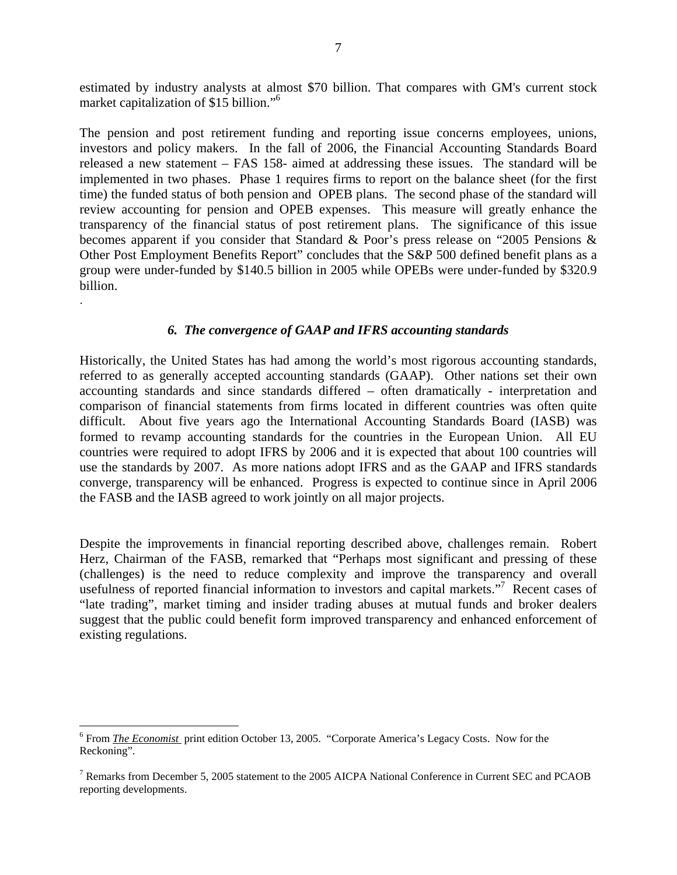estimated by industry analysts at almost \$70 billion. That compares with GM's current stock market capitalization of \$15 billion."[6](#page-7-0)

The pension and post retirement funding and reporting issue concerns employees, unions, investors and policy makers. In the fall of 2006, the Financial Accounting Standards Board released a new statement – FAS 158- aimed at addressing these issues. The standard will be implemented in two phases. Phase 1 requires firms to report on the balance sheet (for the first time) the funded status of both pension and OPEB plans. The second phase of the standard will review accounting for pension and OPEB expenses. This measure will greatly enhance the transparency of the financial status of post retirement plans. The significance of this issue becomes apparent if you consider that Standard & Poor's press release on "2005 Pensions & Other Post Employment Benefits Report" concludes that the S&P 500 defined benefit plans as a group were under-funded by \$140.5 billion in 2005 while OPEBs were under-funded by \$320.9 billion.

#### *6. The convergence of GAAP and IFRS accounting standards*

.

1

Historically, the United States has had among the world's most rigorous accounting standards, referred to as generally accepted accounting standards (GAAP). Other nations set their own accounting standards and since standards differed – often dramatically - interpretation and comparison of financial statements from firms located in different countries was often quite difficult. About five years ago the International Accounting Standards Board (IASB) was formed to revamp accounting standards for the countries in the European Union. All EU countries were required to adopt IFRS by 2006 and it is expected that about 100 countries will use the standards by 2007. As more nations adopt IFRS and as the GAAP and IFRS standards converge, transparency will be enhanced. Progress is expected to continue since in April 2006 the FASB and the IASB agreed to work jointly on all major projects.

Despite the improvements in financial reporting described above, challenges remain. Robert Herz, Chairman of the FASB, remarked that "Perhaps most significant and pressing of these (challenges) is the need to reduce complexity and improve the transparency and overall usefulness of reported financial information to investors and capital markets."<sup>7</sup> Recent cases of "late trading", market timing and insider trading abuses at mutual funds and broker dealers suggest that the public could benefit form improved transparency and enhanced enforcement of existing regulations.

<span id="page-7-0"></span><sup>&</sup>lt;sup>6</sup> From *The Economist* print edition October 13, 2005. "Corporate America's Legacy Costs. Now for the Reckoning".

<span id="page-7-1"></span><sup>&</sup>lt;sup>7</sup> Remarks from December 5, 2005 statement to the 2005 AICPA National Conference in Current SEC and PCAOB reporting developments.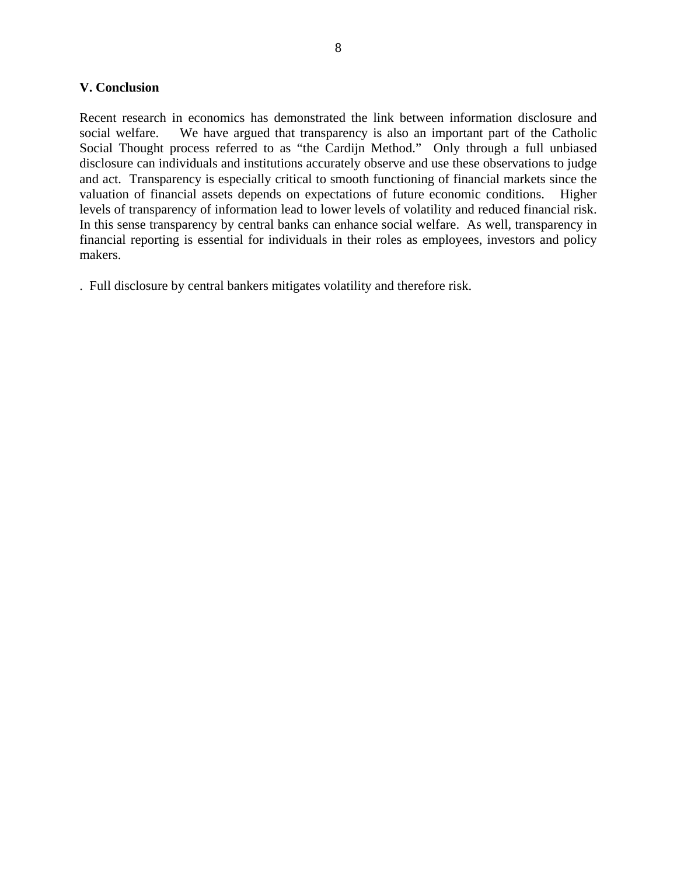#### **V. Conclusion**

Recent research in economics has demonstrated the link between information disclosure and social welfare. We have argued that transparency is also an important part of the Catholic Social Thought process referred to as "the Cardijn Method." Only through a full unbiased disclosure can individuals and institutions accurately observe and use these observations to judge and act. Transparency is especially critical to smooth functioning of financial markets since the valuation of financial assets depends on expectations of future economic conditions. Higher levels of transparency of information lead to lower levels of volatility and reduced financial risk. In this sense transparency by central banks can enhance social welfare. As well, transparency in financial reporting is essential for individuals in their roles as employees, investors and policy makers.

. Full disclosure by central bankers mitigates volatility and therefore risk.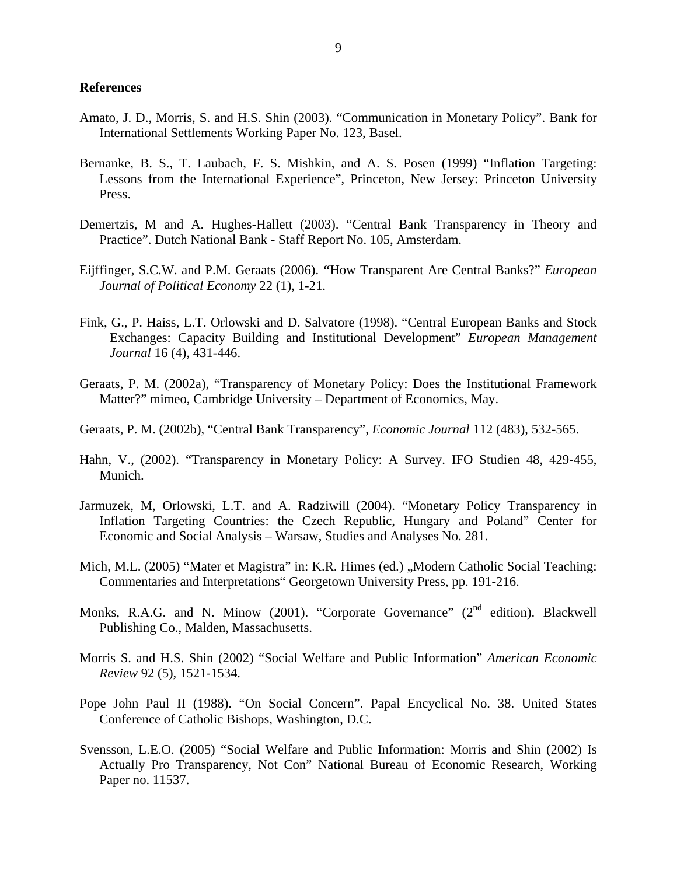#### **References**

- Amato, J. D., Morris, S. and H.S. Shin (2003). "Communication in Monetary Policy". Bank for International Settlements Working Paper No. 123, Basel.
- Bernanke, B. S., T. Laubach, F. S. Mishkin, and A. S. Posen (1999) "Inflation Targeting: Lessons from the International Experience", Princeton, New Jersey: Princeton University Press.
- Demertzis, M and A. Hughes-Hallett (2003). "Central Bank Transparency in Theory and Practice". Dutch National Bank - Staff Report No. 105, Amsterdam.
- Eijffinger, S.C.W. and P.M. Geraats (2006). **"**How Transparent Are Central Banks?" *European Journal of Political Economy* 22 (1), 1-21.
- Fink, G., P. Haiss, L.T. Orlowski and D. Salvatore (1998). "Central European Banks and Stock Exchanges: Capacity Building and Institutional Development" *European Management Journal* 16 (4), 431-446.
- Geraats, P. M. (2002a), "Transparency of Monetary Policy: Does the Institutional Framework Matter?" mimeo, Cambridge University – Department of Economics, May.
- Geraats, P. M. (2002b), "Central Bank Transparency", *Economic Journal* 112 (483), 532-565.
- Hahn, V., (2002). "Transparency in Monetary Policy: A Survey. IFO Studien 48, 429-455, Munich.
- Jarmuzek, M, Orlowski, L.T. and A. Radziwill (2004). "Monetary Policy Transparency in Inflation Targeting Countries: the Czech Republic, Hungary and Poland" Center for Economic and Social Analysis – Warsaw, Studies and Analyses No. 281.
- Mich, M.L. (2005) "Mater et Magistra" in: K.R. Himes (ed.) "Modern Catholic Social Teaching: Commentaries and Interpretations" Georgetown University Press, pp. 191-216.
- Monks, R.A.G. and N. Minow (2001). "Corporate Governance" (2<sup>nd</sup> edition). Blackwell Publishing Co., Malden, Massachusetts.
- Morris S. and H.S. Shin (2002) "Social Welfare and Public Information" *American Economic Review* 92 (5), 1521-1534.
- Pope John Paul II (1988). "On Social Concern". Papal Encyclical No. 38. United States Conference of Catholic Bishops, Washington, D.C.
- Svensson, L.E.O. (2005) "Social Welfare and Public Information: Morris and Shin (2002) Is Actually Pro Transparency, Not Con" National Bureau of Economic Research, Working Paper no. 11537.